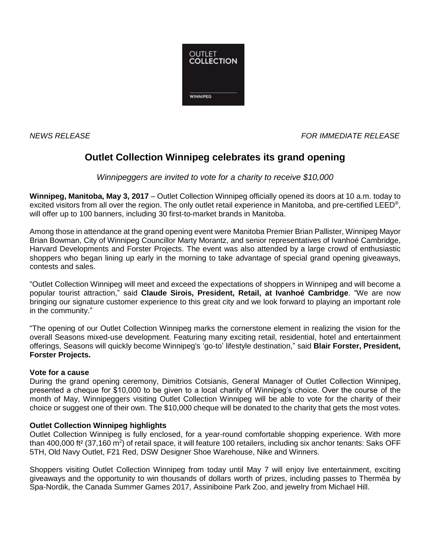

*NEWS RELEASE FOR IMMEDIATE RELEASE*

# **Outlet Collection Winnipeg celebrates its grand opening**

*Winnipeggers are invited to vote for a charity to receive \$10,000* 

**Winnipeg, Manitoba, May 3, 2017** – Outlet Collection Winnipeg officially opened its doors at 10 a.m. today to excited visitors from all over the region. The only outlet retail experience in Manitoba, and pre-certified LEED®, will offer up to 100 banners, including 30 first-to-market brands in Manitoba.

Among those in attendance at the grand opening event were Manitoba Premier Brian Pallister, Winnipeg Mayor Brian Bowman, City of Winnipeg Councillor Marty Morantz, and senior representatives of Ivanhoé Cambridge, Harvard Developments and Forster Projects. The event was also attended by a large crowd of enthusiastic shoppers who began lining up early in the morning to take advantage of special grand opening giveaways, contests and sales.

"Outlet Collection Winnipeg will meet and exceed the expectations of shoppers in Winnipeg and will become a popular tourist attraction," said **Claude Sirois, President, Retail, at Ivanhoé Cambridge**. "We are now bringing our signature customer experience to this great city and we look forward to playing an important role in the community."

"The opening of our Outlet Collection Winnipeg marks the cornerstone element in realizing the vision for the overall Seasons mixed-use development. Featuring many exciting retail, residential, hotel and entertainment offerings, Seasons will quickly become Winnipeg's 'go-to' lifestyle destination," said **Blair Forster, President, Forster Projects.**

# **Vote for a cause**

During the grand opening ceremony, Dimitrios Cotsianis, General Manager of Outlet Collection Winnipeg, presented a cheque for \$10,000 to be given to a local charity of Winnipeg's choice. Over the course of the month of May, Winnipeggers visiting Outlet Collection Winnipeg will be able to vote for the charity of their choice or suggest one of their own. The \$10,000 cheque will be donated to the charity that gets the most votes.

# **Outlet Collection Winnipeg highlights**

Outlet Collection Winnipeg is fully enclosed, for a year-round comfortable shopping experience. With more than 400,000 ft<sup>2</sup> (37,160 m<sup>2</sup>) of retail space, it will feature 100 retailers, including six anchor tenants: Saks OFF 5TH, Old Navy Outlet, F21 Red, DSW Designer Shoe Warehouse, Nike and Winners.

Shoppers visiting Outlet Collection Winnipeg from today until May 7 will enjoy live entertainment, exciting giveaways and the opportunity to win thousands of dollars worth of prizes, including passes to Thermëa by Spa-Nordik, the Canada Summer Games 2017, Assiniboine Park Zoo, and jewelry from Michael Hill.